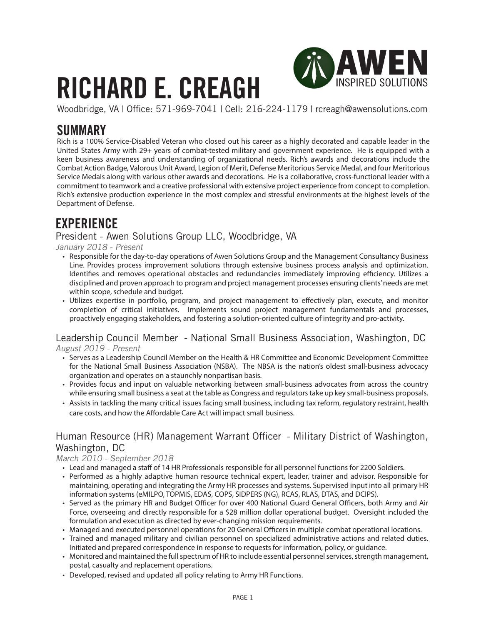# **RICHARD E. CREAGH**



Woodbridge, VA | Office: 571-969-7041 | Cell: 216-224-1179 | rcreagh@awensolutions.com

## **SUMMARY**

Rich is a 100% Service-Disabled Veteran who closed out his career as a highly decorated and capable leader in the United States Army with 29+ years of combat-tested military and government experience. He is equipped with a keen business awareness and understanding of organizational needs. Rich's awards and decorations include the Combat Action Badge, Valorous Unit Award, Legion of Merit, Defense Meritorious Service Medal, and four Meritorious Service Medals along with various other awards and decorations. He is a collaborative, cross-functional leader with a commitment to teamwork and a creative professional with extensive project experience from concept to completion. Rich's extensive production experience in the most complex and stressful environments at the highest levels of the Department of Defense.

# **EXPERIENCE**

President - Awen Solutions Group LLC, Woodbridge, VA

January 2018 - Present

- Responsible for the day-to-day operations of Awen Solutions Group and the Management Consultancy Business Line. Provides process improvement solutions through extensive business process analysis and optimization. Identifies and removes operational obstacles and redundancies immediately improving efficiency. Utilizes a disciplined and proven approach to program and project management processes ensuring clients' needs are met within scope, schedule and budget.
- Utilizes expertise in portfolio, program, and project management to effectively plan, execute, and monitor completion of critical initiatives. Implements sound project management fundamentals and processes, proactively engaging stakeholders, and fostering a solution-oriented culture of integrity and pro-activity.

#### Leadership Council Member - National Small Business Association, Washington, DC August 2019 - Present

- Serves as a Leadership Council Member on the Health & HR Committee and Economic Development Committee for the National Small Business Association (NSBA). The NBSA is the nation's oldest small-business advocacy organization and operates on a staunchly nonpartisan basis.
- Provides focus and input on valuable networking between small-business advocates from across the country while ensuring small business a seat at the table as Congress and regulators take up key small-business proposals.
- Assists in tackling the many critical issues facing small business, including tax reform, regulatory restraint, health care costs, and how the Affordable Care Act will impact small business.

### Human Resource (HR) Management Warrant Officer - Military District of Washington, Washington, DC

#### March 2010 - September 2018

- Lead and managed a staff of 14 HR Professionals responsible for all personnel functions for 2200 Soldiers.
- Performed as a highly adaptive human resource technical expert, leader, trainer and advisor. Responsible for maintaining, operating and integrating the Army HR processes and systems. Supervised input into all primary HR information systems (eMILPO, TOPMIS, EDAS, COPS, SIDPERS (NG), RCAS, RLAS, DTAS, and DCIPS).
- Served as the primary HR and Budget Officer for over 400 National Guard General Officers, both Army and Air Force, overseeing and directly responsible for a \$28 million dollar operational budget. Oversight included the formulation and execution as directed by ever-changing mission requirements.
- Managed and executed personnel operations for 20 General Officers in multiple combat operational locations.
- Trained and managed military and civilian personnel on specialized administrative actions and related duties. Initiated and prepared correspondence in response to requests for information, policy, or guidance.
- Monitored and maintained the full spectrum of HR to include essential personnel services, strength management, postal, casualty and replacement operations.
- Developed, revised and updated all policy relating to Army HR Functions.